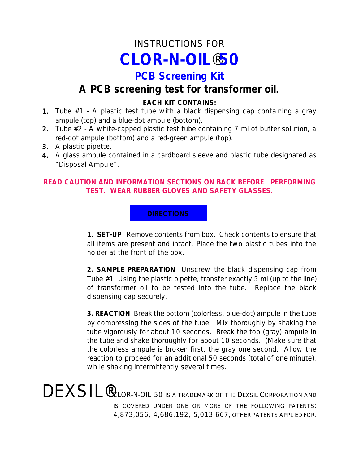# INSTRUCTIONS FOR *CLOR-N-OIL*®**50**

# **PCB Screening Kit**

# **A PCB screening test for transformer oil.**

#### **EACH KIT CONTAINS:**

- **1.** Tube #1 A plastic test tube with a black dispensing cap containing a gray ampule (top) and a blue-dot ampule (bottom).
- **2.** Tube #2 A white-capped plastic test tube containing 7 ml of buffer solution, a red-dot ampule (bottom) and a red-green ampule (top).
- **3.** A plastic pipette.
- **4.** A glass ampule contained in a cardboard sleeve and plastic tube designated as "Disposal Ampule".

#### **READ CAUTION AND INFORMATION SECTIONS ON BACK BEFORE PERFORMING TEST. WEAR RUBBER GLOVES AND SAFETY GLASSES.**

#### **DIRECTIONS**

**1**. **SET-UP** Remove contents from box. Check contents to ensure that all items are present and intact. Place the two plastic tubes into the holder at the front of the box.

**2. SAMPLE PREPARATION** Unscrew the black dispensing cap from Tube #1. Using the plastic pipette, transfer exactly 5 ml (up to the line) of transformer oil to be tested into the tube. Replace the black dispensing cap securely.

**3. REACTION** Break the bottom (colorless, blue-dot) ampule in the tube by compressing the sides of the tube. Mix thoroughly by shaking the tube vigorously for about 10 seconds. Break the top (gray) ampule in the tube and shake thoroughly for about 10 seconds. (Make sure that the colorless ampule is broken first, the gray one second. Allow the reaction to proceed for an additional 50 seconds (total of one minute), while shaking intermittently several times.

DEXSIL**®**CLOR-N-OIL 50 IS A TRADEMARK OF THE DEXSIL CORPORATION AND IS COVERED UNDER ONE OR MORE OF THE FOLLOWING PATENTS: 4,873,056, 4,686,192, 5,013,667, OTHER PATENTS APPLIED FOR.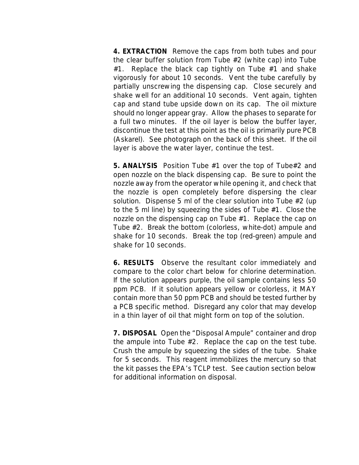**4. EXTRACTION** Remove the caps from both tubes and pour the clear buffer solution from Tube #2 (white cap) into Tube #1. Replace the black cap tightly on Tube #1 and shake vigorously for about 10 seconds. Vent the tube carefully by partially unscrewing the dispensing cap. Close securely and shake well for an additional 10 seconds. Vent again, tighten cap and stand tube upside down on its cap. The oil mixture should no longer appear gray. Allow the phases to separate for a full two minutes. If the oil layer is below the buffer layer, discontinue the test at this point as the oil is primarily pure PCB (Askarel). See photograph on the back of this sheet. If the oil layer is above the water layer, continue the test.

**5. ANALYSIS** Position Tube #1 over the top of Tube#2 and open nozzle on the black dispensing cap. Be sure to point the nozzle away from the operator while opening it, and check that the nozzle is open completely before dispersing the clear solution. Dispense 5 ml of the clear solution into Tube #2 (up to the 5 ml line) by squeezing the sides of Tube #1. Close the nozzle on the dispensing cap on Tube #1. Replace the cap on Tube #2. Break the bottom (colorless, white-dot) ampule and shake for 10 seconds. Break the top (red-green) ampule and shake for 10 seconds.

**6. RESULTS** Observe the resultant color immediately and compare to the color chart below for chlorine determination. If the solution appears purple, the oil sample contains less 50 ppm PCB. If it solution appears yellow or colorless, it MAY contain more than 50 ppm PCB and should be tested further by a PCB specific method. Disregard any color that may develop in a thin layer of oil that might form on top of the solution.

**7. DISPOSAL** Open the "Disposal Ampule" container and drop the ampule into Tube #2. Replace the cap on the test tube. Crush the ampule by squeezing the sides of the tube. Shake for 5 seconds. This reagent immobilizes the mercury so that the kit passes the EPA's TCLP test. See caution section below for additional information on disposal.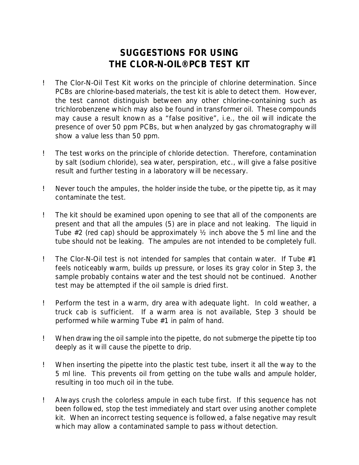## **SUGGESTIONS FOR USING THE CLOR-N-OIL® PCB TEST KIT**

- ! The Clor-N-Oil Test Kit works on the principle of chlorine determination. Since PCBs are chlorine-based materials, the test kit is able to detect them. However, the test cannot distinguish between any other chlorine-containing such as trichlorobenzene which may also be found in transformer oil. These compounds may cause a result known as a "false positive", i.e., the oil will indicate the presence of over 50 ppm PCBs, but when analyzed by gas chromatography will show a value less than 50 ppm.
- ! The test works on the principle of chloride detection. Therefore, contamination by salt (sodium chloride), sea water, perspiration, etc., will give a false positive result and further testing in a laboratory will be necessary.
- ! Never touch the ampules, the holder inside the tube, or the pipette tip, as it may contaminate the test.
- ! The kit should be examined upon opening to see that all of the components are present and that all the ampules (5) are in place and not leaking. The liquid in Tube  $#2$  (red cap) should be approximately  $\frac{1}{2}$  inch above the 5 ml line and the tube should not be leaking. The ampules are not intended to be completely full.
- ! The Clor-N-Oil test is not intended for samples that contain water. If Tube #1 feels noticeably warm, builds up pressure, or loses its gray color in Step 3, the sample probably contains water and the test should not be continued. Another test may be attempted if the oil sample is dried first.
- ! Perform the test in a warm, dry area with adequate light. In cold weather, a truck cab is sufficient. If a warm area is not available, Step 3 should be performed while warming Tube #1 in palm of hand.
- ! When drawing the oil sample into the pipette, do not submerge the pipette tip too deeply as it will cause the pipette to drip.
- ! When inserting the pipette into the plastic test tube, insert it all the way to the 5 ml line. This prevents oil from getting on the tube walls and ampule holder, resulting in too much oil in the tube.
- ! Always crush the colorless ampule in each tube first. If this sequence has not been followed, stop the test immediately and start over using another complete kit. When an incorrect testing sequence is followed, a false negative may result which may allow a contaminated sample to pass without detection.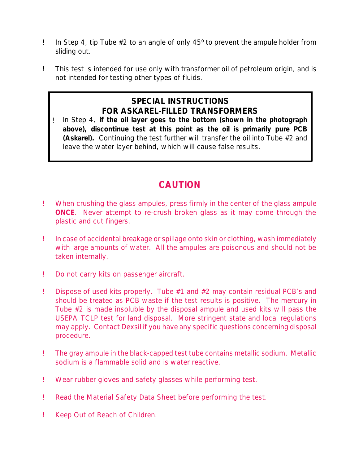- **!** In Step 4, tip Tube  $#2$  to an angle of only  $45^{\circ}$  to prevent the ampule holder from sliding out.
- ! This test is intended for use only with transformer oil of petroleum origin, and is not intended for testing other types of fluids.

### **SPECIAL INSTRUCTIONS FOR ASKAREL-FILLED TRANSFORMERS**

! In Step 4, **if the oil layer goes to the bottom (shown in the photograph above), discontinue test at this point as the oil is primarily pure PCB (Askarel).** Continuing the test further will transfer the oil into Tube #2 and leave the water layer behind, which will cause false results.

### **CAUTION**

- ! When crushing the glass ampules, press firmly in the center of the glass ampule **ONCE**. Never attempt to re-crush broken glass as it may come through the plastic and cut fingers.
- ! In case of accidental breakage or spillage onto skin or clothing, wash immediately with large amounts of water. All the ampules are poisonous and should not be taken internally.
- ! Do not carry kits on passenger aircraft.
- ! Dispose of used kits properly. Tube #1 and #2 may contain residual PCB's and should be treated as PCB waste if the test results is positive. The mercury in Tube #2 is made insoluble by the disposal ampule and used kits will pass the USEPA TCLP test for land disposal. More stringent state and local regulations may apply. Contact Dexsil if you have any specific questions concerning disposal procedure.
- ! The gray ampule in the black-capped test tube contains metallic sodium. Metallic sodium is a flammable solid and is water reactive.
- ! Wear rubber gloves and safety glasses while performing test.
- ! Read the Material Safety Data Sheet before performing the test.
- ! Keep Out of Reach of Children.